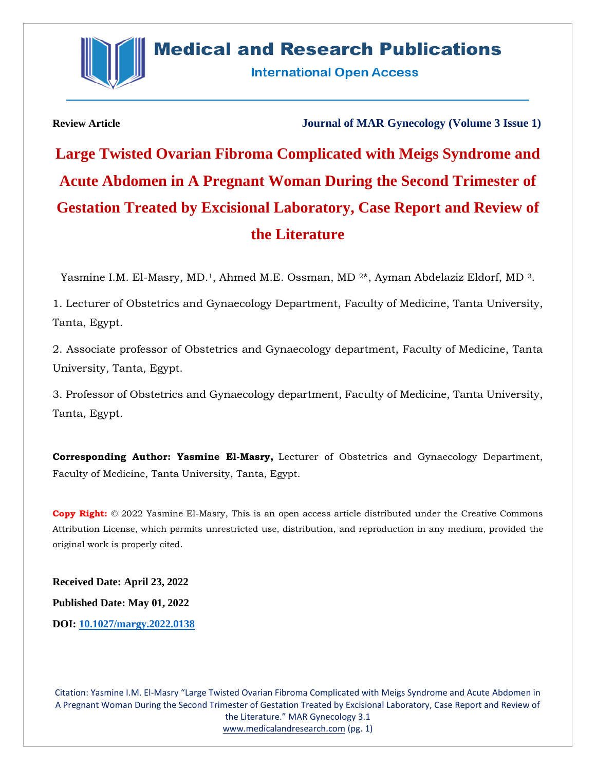

**International Open Access** 

**Review Article Journal of MAR Gynecology (Volume 3 Issue 1)**

**Large Twisted Ovarian Fibroma Complicated with Meigs Syndrome and Acute Abdomen in A Pregnant Woman During the Second Trimester of Gestation Treated by Excisional Laboratory, Case Report and Review of the Literature**

Yasmine I.M. El-Masry, MD.<sup>1</sup>, Ahmed M.E. Ossman, MD<sup>2\*</sup>, Ayman Abdelaziz Eldorf, MD<sup>3</sup>.

1. Lecturer of Obstetrics and Gynaecology Department, Faculty of Medicine, Tanta University, Tanta, Egypt.

2. Associate professor of Obstetrics and Gynaecology department, Faculty of Medicine, Tanta University, Tanta, Egypt.

3. Professor of Obstetrics and Gynaecology department, Faculty of Medicine, Tanta University, Tanta, Egypt.

**Corresponding Author: Yasmine El-Masry,** Lecturer of Obstetrics and Gynaecology Department, Faculty of Medicine, Tanta University, Tanta, Egypt.

**Copy Right:** © 2022 Yasmine El-Masry, This is an open access article distributed under the Creative Commons Attribution License, which permits unrestricted use, distribution, and reproduction in any medium, provided the original work is properly cited.

**Received Date: April 23, 2022 Published Date: May 01, 2022 DOI: [10.1027/margy.2022.0138](https://www.medicalandresearch.com/assets/articles/documents/DOCUMENT_20220428155217.pdf)**

Citation: Yasmine I.M. El-Masry "Large Twisted Ovarian Fibroma Complicated with Meigs Syndrome and Acute Abdomen in A Pregnant Woman During the Second Trimester of Gestation Treated by Excisional Laboratory, Case Report and Review of the Literature." MAR Gynecology 3.1 [www.medicalandresearch.com](http://www.medicalandresearch.com/) (pg. 1)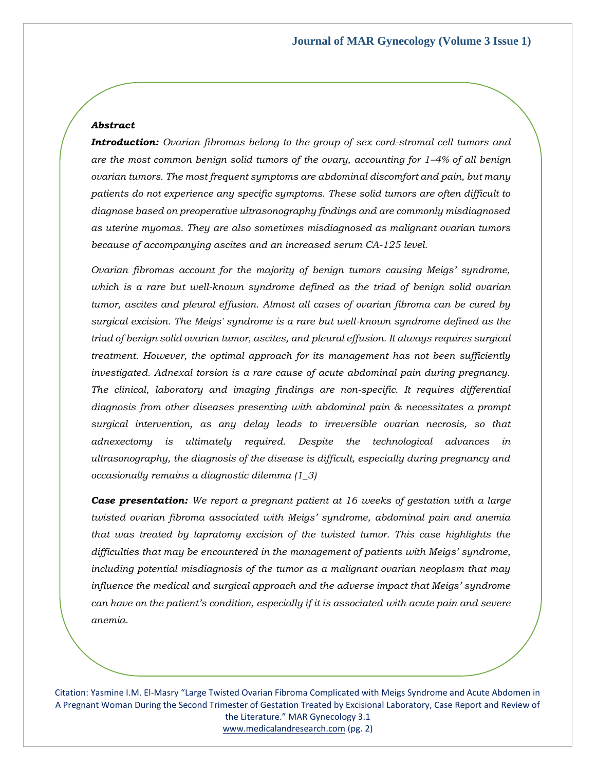### *Abstract*

*Introduction: Ovarian fibromas belong to the group of sex cord-stromal cell tumors and are the most common benign solid tumors of the ovary, accounting for 1–4% of all benign ovarian tumors. The most frequent symptoms are abdominal discomfort and pain, but many patients do not experience any specific symptoms. These solid tumors are often difficult to diagnose based on preoperative ultrasonography findings and are commonly misdiagnosed as uterine myomas. They are also sometimes misdiagnosed as malignant ovarian tumors because of accompanying ascites and an increased serum CA-125 level.*

*Ovarian fibromas account for the majority of benign tumors causing Meigs' syndrome, which is a rare but well-known syndrome defined as the triad of benign solid ovarian tumor, ascites and pleural effusion. Almost all cases of ovarian fibroma can be cured by surgical excision. The Meigs' syndrome is a rare but well-known syndrome defined as the triad of benign solid ovarian tumor, ascites, and pleural effusion. It always requires surgical treatment. However, the optimal approach for its management has not been sufficiently investigated. Adnexal torsion is a rare cause of acute abdominal pain during pregnancy. The clinical, laboratory and imaging findings are non-specific. It requires differential diagnosis from other diseases presenting with abdominal pain & necessitates a prompt surgical intervention, as any delay leads to irreversible ovarian necrosis, so that adnexectomy is ultimately required. Despite the technological advances in ultrasonography, the diagnosis of the disease is difficult, especially during pregnancy and occasionally remains a diagnostic dilemma (1\_3)*

*Case presentation: We report a pregnant patient at 16 weeks of gestation with a large twisted ovarian fibroma associated with Meigs' syndrome, abdominal pain and anemia that was treated by lapratomy excision of the twisted tumor. This case highlights the difficulties that may be encountered in the management of patients with Meigs' syndrome,*  including potential misdiagnosis of the tumor as a malignant ovarian neoplasm that may *influence the medical and surgical approach and the adverse impact that Meigs' syndrome can have on the patient's condition, especially if it is associated with acute pain and severe anemia.* 

Citation: Yasmine I.M. El-Masry "Large Twisted Ovarian Fibroma Complicated with Meigs Syndrome and Acute Abdomen in A Pregnant Woman During the Second Trimester of Gestation Treated by Excisional Laboratory, Case Report and Review of the Literature." MAR Gynecology 3.1 [www.medicalandresearch.com](http://www.medicalandresearch.com/) (pg. 2)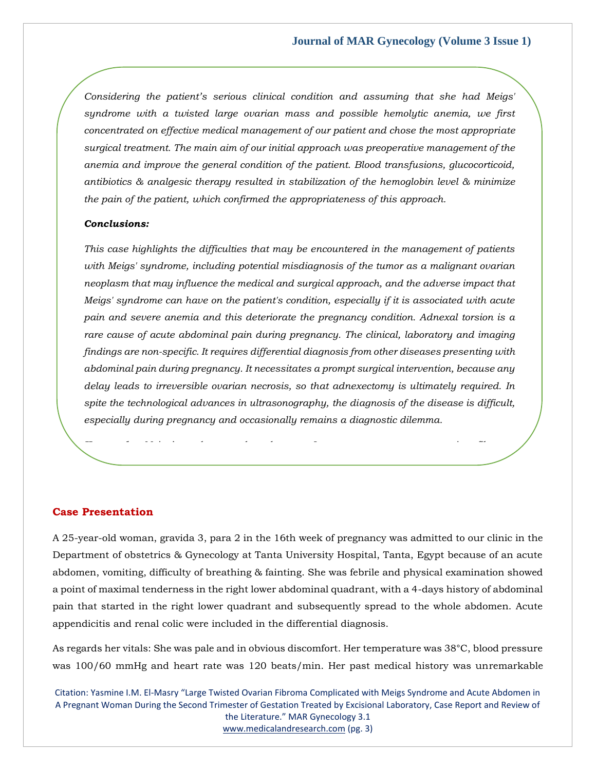*Considering the patient's serious clinical condition and assuming that she had Meigs' syndrome with a twisted large ovarian mass and possible hemolytic anemia, we first concentrated on effective medical management of our patient and chose the most appropriate surgical treatment. The main aim of our initial approach was preoperative management of the anemia and improve the general condition of the patient. Blood transfusions, glucocorticoid, antibiotics & analgesic therapy resulted in stabilization of the hemoglobin level & minimize the pain of the patient, which confirmed the appropriateness of this approach.*

# *Conclusions:*

*This case highlights the difficulties that may be encountered in the management of patients with Meigs' syndrome, including potential misdiagnosis of the tumor as a malignant ovarian neoplasm that may influence the medical and surgical approach, and the adverse impact that Meigs' syndrome can have on the patient's condition, especially if it is associated with acute pain and severe anemia and this deteriorate the pregnancy condition. Adnexal torsion is a rare cause of acute abdominal pain during pregnancy. The clinical, laboratory and imaging findings are non-specific. It requires differential diagnosis from other diseases presenting with abdominal pain during pregnancy. It necessitates a prompt surgical intervention, because any delay leads to irreversible ovarian necrosis, so that adnexectomy is ultimately required. In spite the technological advances in ultrasonography, the diagnosis of the disease is difficult, especially during pregnancy and occasionally remains a diagnostic dilemma.*

*Keywords: Meigs' syndrome, adnexal mass, Laparotomy, pregnancy, ovarian fibroma,* 

#### **Case Presentation**

*torsion.*

A 25-year-old woman, gravida 3, para 2 in the 16th week of pregnancy was admitted to our clinic in the Department of obstetrics & Gynecology at Tanta University Hospital, Tanta, Egypt because of an acute abdomen, vomiting, difficulty of breathing & fainting. She was febrile and physical examination showed a point of maximal tenderness in the right lower abdominal quadrant, with a 4-days history of abdominal pain that started in the right lower quadrant and subsequently spread to the whole abdomen. Acute appendicitis and renal colic were included in the differential diagnosis.

As regards her vitals: She was pale and in obvious discomfort. Her temperature was 38°C, blood pressure was 100/60 mmHg and heart rate was 120 beats/min. Her past medical history was unremarkable

Citation: Yasmine I.M. El-Masry "Large Twisted Ovarian Fibroma Complicated with Meigs Syndrome and Acute Abdomen in A Pregnant Woman During the Second Trimester of Gestation Treated by Excisional Laboratory, Case Report and Review of the Literature." MAR Gynecology 3.1 [www.medicalandresearch.com](http://www.medicalandresearch.com/) (pg. 3)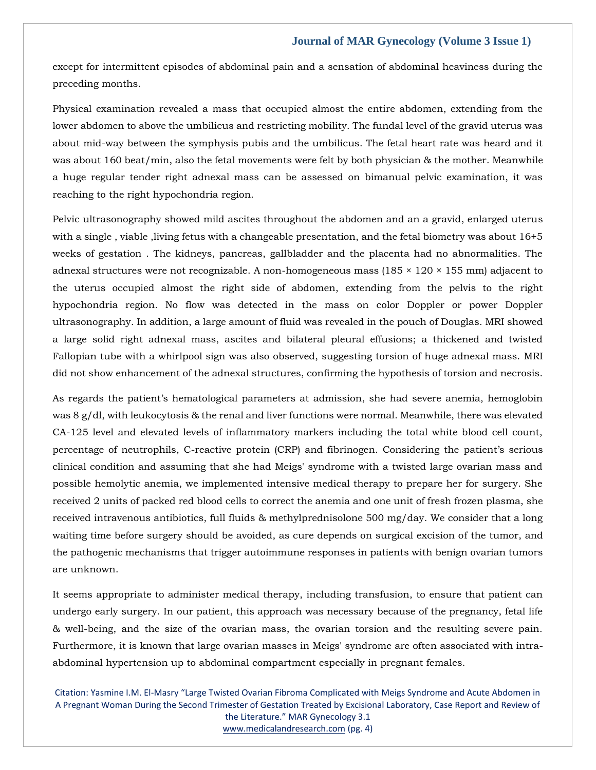except for intermittent episodes of abdominal pain and a sensation of abdominal heaviness during the preceding months.

Physical examination revealed a mass that occupied almost the entire abdomen, extending from the lower abdomen to above the umbilicus and restricting mobility. The fundal level of the gravid uterus was about mid-way between the symphysis pubis and the umbilicus. The fetal heart rate was heard and it was about 160 beat/min, also the fetal movements were felt by both physician & the mother. Meanwhile a huge regular tender right adnexal mass can be assessed on bimanual pelvic examination, it was reaching to the right hypochondria region.

Pelvic ultrasonography showed mild ascites throughout the abdomen and an a gravid, enlarged uterus with a single, viable, living fetus with a changeable presentation, and the fetal biometry was about 16+5 weeks of gestation . The kidneys, pancreas, gallbladder and the placenta had no abnormalities. The adnexal structures were not recognizable. A non-homogeneous mass (185  $\times$  120  $\times$  155 mm) adjacent to the uterus occupied almost the right side of abdomen, extending from the pelvis to the right hypochondria region. No flow was detected in the mass on color Doppler or power Doppler ultrasonography. In addition, a large amount of fluid was revealed in the pouch of Douglas. MRI showed a large solid right adnexal mass, ascites and bilateral pleural effusions; a thickened and twisted Fallopian tube with a whirlpool sign was also observed, suggesting torsion of huge adnexal mass. MRI did not show enhancement of the adnexal structures, confirming the hypothesis of torsion and necrosis.

As regards the patient's hematological parameters at admission, she had severe anemia, hemoglobin was 8 g/dl, with leukocytosis & the renal and liver functions were normal. Meanwhile, there was elevated CA-125 level and elevated levels of inflammatory markers including the total white blood cell count, percentage of neutrophils, C-reactive protein (CRP) and fibrinogen. Considering the patient's serious clinical condition and assuming that she had Meigs' syndrome with a twisted large ovarian mass and possible hemolytic anemia, we implemented intensive medical therapy to prepare her for surgery. She received 2 units of packed red blood cells to correct the anemia and one unit of fresh frozen plasma, she received intravenous antibiotics, full fluids & methylprednisolone 500 mg/day. We consider that a long waiting time before surgery should be avoided, as cure depends on surgical excision of the tumor, and the pathogenic mechanisms that trigger autoimmune responses in patients with benign ovarian tumors are unknown.

It seems appropriate to administer medical therapy, including transfusion, to ensure that patient can undergo early surgery. In our patient, this approach was necessary because of the pregnancy, fetal life & well-being, and the size of the ovarian mass, the ovarian torsion and the resulting severe pain. Furthermore, it is known that large ovarian masses in Meigs' syndrome are often associated with intraabdominal hypertension up to abdominal compartment especially in pregnant females.

Citation: Yasmine I.M. El-Masry "Large Twisted Ovarian Fibroma Complicated with Meigs Syndrome and Acute Abdomen in A Pregnant Woman During the Second Trimester of Gestation Treated by Excisional Laboratory, Case Report and Review of the Literature." MAR Gynecology 3.1 [www.medicalandresearch.com](http://www.medicalandresearch.com/) (pg. 4)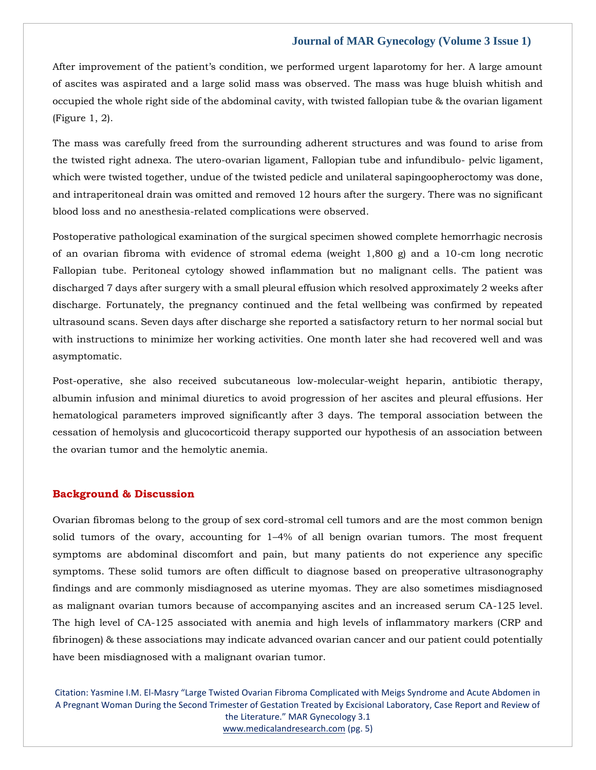After improvement of the patient's condition, we performed urgent laparotomy for her. A large amount of ascites was aspirated and a large solid mass was observed. The mass was huge bluish whitish and occupied the whole right side of the abdominal cavity, with twisted fallopian tube & the ovarian ligament (Figure 1, 2).

The mass was carefully freed from the surrounding adherent structures and was found to arise from the twisted right adnexa. The utero-ovarian ligament, Fallopian tube and infundibulo- pelvic ligament, which were twisted together, undue of the twisted pedicle and unilateral sapingoopheroctomy was done, and intraperitoneal drain was omitted and removed 12 hours after the surgery. There was no significant blood loss and no anesthesia-related complications were observed.

Postoperative pathological examination of the surgical specimen showed complete hemorrhagic necrosis of an ovarian fibroma with evidence of stromal edema (weight 1,800 g) and a 10-cm long necrotic Fallopian tube. Peritoneal cytology showed inflammation but no malignant cells. The patient was discharged 7 days after surgery with a small pleural effusion which resolved approximately 2 weeks after discharge. Fortunately, the pregnancy continued and the fetal wellbeing was confirmed by repeated ultrasound scans. Seven days after discharge she reported a satisfactory return to her normal social but with instructions to minimize her working activities. One month later she had recovered well and was asymptomatic.

Post-operative, she also received subcutaneous low-molecular-weight heparin, antibiotic therapy, albumin infusion and minimal diuretics to avoid progression of her ascites and pleural effusions. Her hematological parameters improved significantly after 3 days. The temporal association between the cessation of hemolysis and glucocorticoid therapy supported our hypothesis of an association between the ovarian tumor and the hemolytic anemia.

### **Background & Discussion**

Ovarian fibromas belong to the group of sex cord-stromal cell tumors and are the most common benign solid tumors of the ovary, accounting for 1–4% of all benign ovarian tumors. The most frequent symptoms are abdominal discomfort and pain, but many patients do not experience any specific symptoms. These solid tumors are often difficult to diagnose based on preoperative ultrasonography findings and are commonly misdiagnosed as uterine myomas. They are also sometimes misdiagnosed as malignant ovarian tumors because of accompanying ascites and an increased serum CA-125 level. The high level of CA-125 associated with anemia and high levels of inflammatory markers (CRP and fibrinogen) & these associations may indicate advanced ovarian cancer and our patient could potentially have been misdiagnosed with a malignant ovarian tumor.

Citation: Yasmine I.M. El-Masry "Large Twisted Ovarian Fibroma Complicated with Meigs Syndrome and Acute Abdomen in A Pregnant Woman During the Second Trimester of Gestation Treated by Excisional Laboratory, Case Report and Review of the Literature." MAR Gynecology 3.1 [www.medicalandresearch.com](http://www.medicalandresearch.com/) (pg. 5)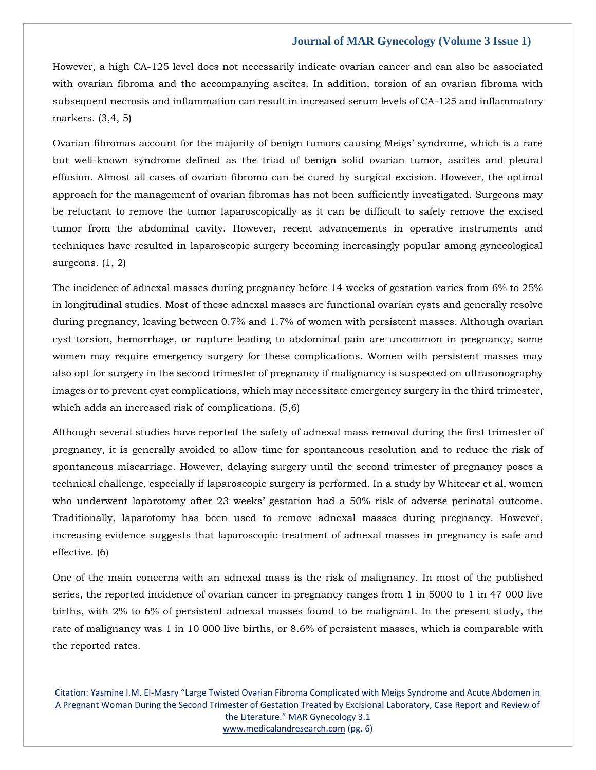However, a high CA-125 level does not necessarily indicate ovarian cancer and can also be associated with ovarian fibroma and the accompanying ascites. In addition, torsion of an ovarian fibroma with subsequent necrosis and inflammation can result in increased serum levels of CA-125 and inflammatory markers. (3,4, 5)

Ovarian fibromas account for the majority of benign tumors causing Meigs' syndrome, which is a rare but well-known syndrome defined as the triad of benign solid ovarian tumor, ascites and pleural effusion. Almost all cases of ovarian fibroma can be cured by surgical excision. However, the optimal approach for the management of ovarian fibromas has not been sufficiently investigated. Surgeons may be reluctant to remove the tumor laparoscopically as it can be difficult to safely remove the excised tumor from the abdominal cavity. However, recent advancements in operative instruments and techniques have resulted in laparoscopic surgery becoming increasingly popular among gynecological surgeons. (1, 2)

The incidence of adnexal masses during pregnancy before 14 weeks of gestation varies from 6% to 25% in longitudinal studies. Most of these adnexal masses are functional ovarian cysts and generally resolve during pregnancy, leaving between 0.7% and 1.7% of women with persistent masses. Although ovarian cyst torsion, hemorrhage, or rupture leading to abdominal pain are uncommon in pregnancy, some women may require emergency surgery for these complications. Women with persistent masses may also opt for surgery in the second trimester of pregnancy if malignancy is suspected on ultrasonography images or to prevent cyst complications, which may necessitate emergency surgery in the third trimester, which adds an increased risk of complications. (5,6)

Although several studies have reported the safety of adnexal mass removal during the first trimester of pregnancy, it is generally avoided to allow time for spontaneous resolution and to reduce the risk of spontaneous miscarriage. However, delaying surgery until the second trimester of pregnancy poses a technical challenge, especially if laparoscopic surgery is performed. In a study by Whitecar et al, women who underwent laparotomy after 23 weeks' gestation had a 50% risk of adverse perinatal outcome. Traditionally, laparotomy has been used to remove adnexal masses during pregnancy. However, increasing evidence suggests that laparoscopic treatment of adnexal masses in pregnancy is safe and effective. (6)

One of the main concerns with an adnexal mass is the risk of malignancy. In most of the published series, the reported incidence of ovarian cancer in pregnancy ranges from 1 in 5000 to 1 in 47 000 live births, with 2% to 6% of persistent adnexal masses found to be malignant. In the present study, the rate of malignancy was 1 in 10 000 live births, or 8.6% of persistent masses, which is comparable with the reported rates.

Citation: Yasmine I.M. El-Masry "Large Twisted Ovarian Fibroma Complicated with Meigs Syndrome and Acute Abdomen in A Pregnant Woman During the Second Trimester of Gestation Treated by Excisional Laboratory, Case Report and Review of the Literature." MAR Gynecology 3.1 [www.medicalandresearch.com](http://www.medicalandresearch.com/) (pg. 6)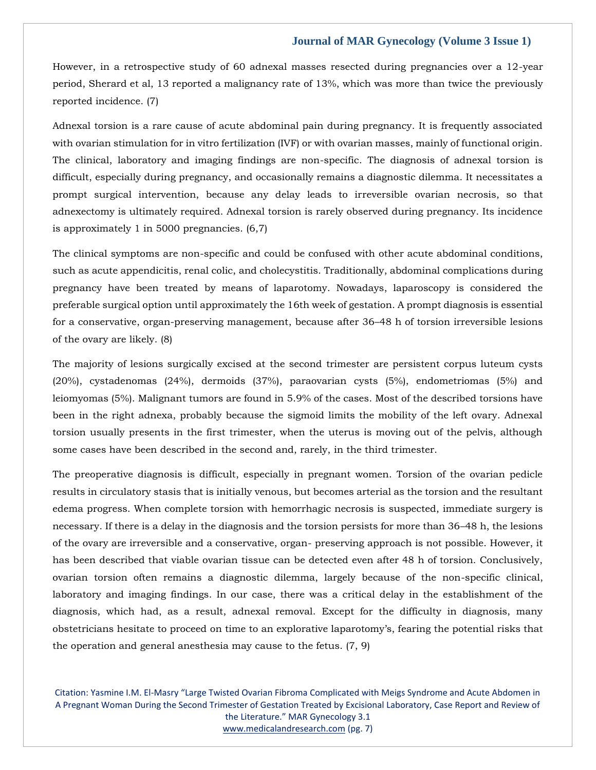However, in a retrospective study of 60 adnexal masses resected during pregnancies over a 12-year period, Sherard et al, 13 reported a malignancy rate of 13%, which was more than twice the previously reported incidence. (7)

Adnexal torsion is a rare cause of acute abdominal pain during pregnancy. It is frequently associated with ovarian stimulation for in vitro fertilization (IVF) or with ovarian masses, mainly of functional origin. The clinical, laboratory and imaging findings are non-specific. The diagnosis of adnexal torsion is difficult, especially during pregnancy, and occasionally remains a diagnostic dilemma. It necessitates a prompt surgical intervention, because any delay leads to irreversible ovarian necrosis, so that adnexectomy is ultimately required. Adnexal torsion is rarely observed during pregnancy. Its incidence is approximately 1 in 5000 pregnancies. (6,7)

The clinical symptoms are non-specific and could be confused with other acute abdominal conditions, such as acute appendicitis, renal colic, and cholecystitis. Traditionally, abdominal complications during pregnancy have been treated by means of laparotomy. Nowadays, laparoscopy is considered the preferable surgical option until approximately the 16th week of gestation. A prompt diagnosis is essential for a conservative, organ-preserving management, because after 36–48 h of torsion irreversible lesions of the ovary are likely. (8)

The majority of lesions surgically excised at the second trimester are persistent corpus luteum cysts (20%), cystadenomas (24%), dermoids (37%), paraovarian cysts (5%), endometriomas (5%) and leiomyomas (5%). Malignant tumors are found in 5.9% of the cases. Most of the described torsions have been in the right adnexa, probably because the sigmoid limits the mobility of the left ovary. Adnexal torsion usually presents in the first trimester, when the uterus is moving out of the pelvis, although some cases have been described in the second and, rarely, in the third trimester.

The preoperative diagnosis is difficult, especially in pregnant women. Torsion of the ovarian pedicle results in circulatory stasis that is initially venous, but becomes arterial as the torsion and the resultant edema progress. When complete torsion with hemorrhagic necrosis is suspected, immediate surgery is necessary. If there is a delay in the diagnosis and the torsion persists for more than 36–48 h, the lesions of the ovary are irreversible and a conservative, organ- preserving approach is not possible. However, it has been described that viable ovarian tissue can be detected even after 48 h of torsion. Conclusively, ovarian torsion often remains a diagnostic dilemma, largely because of the non-specific clinical, laboratory and imaging findings. In our case, there was a critical delay in the establishment of the diagnosis, which had, as a result, adnexal removal. Except for the difficulty in diagnosis, many obstetricians hesitate to proceed on time to an explorative laparotomy's, fearing the potential risks that the operation and general anesthesia may cause to the fetus. (7, 9)

Citation: Yasmine I.M. El-Masry "Large Twisted Ovarian Fibroma Complicated with Meigs Syndrome and Acute Abdomen in A Pregnant Woman During the Second Trimester of Gestation Treated by Excisional Laboratory, Case Report and Review of the Literature." MAR Gynecology 3.1 [www.medicalandresearch.com](http://www.medicalandresearch.com/) (pg. 7)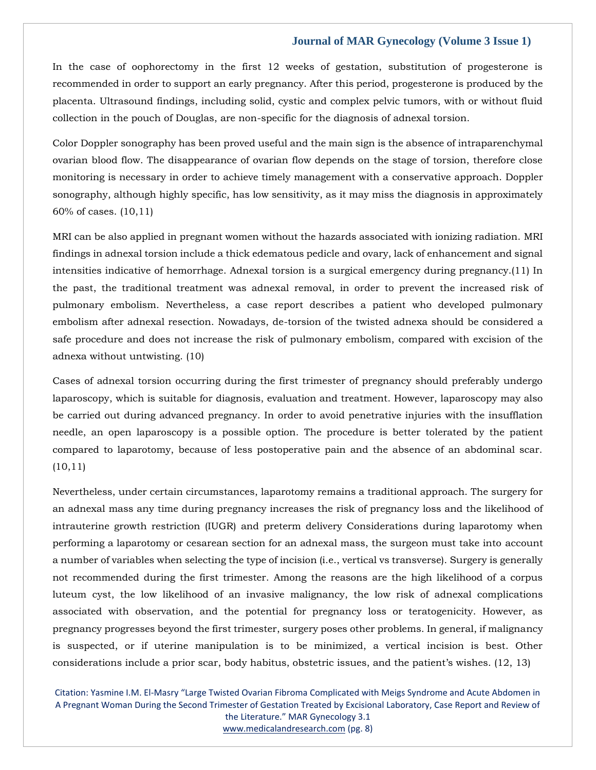In the case of oophorectomy in the first 12 weeks of gestation, substitution of progesterone is recommended in order to support an early pregnancy. After this period, progesterone is produced by the placenta. Ultrasound findings, including solid, cystic and complex pelvic tumors, with or without fluid collection in the pouch of Douglas, are non-specific for the diagnosis of adnexal torsion.

Color Doppler sonography has been proved useful and the main sign is the absence of intraparenchymal ovarian blood flow. The disappearance of ovarian flow depends on the stage of torsion, therefore close monitoring is necessary in order to achieve timely management with a conservative approach. Doppler sonography, although highly specific, has low sensitivity, as it may miss the diagnosis in approximately 60% of cases. (10,11)

MRI can be also applied in pregnant women without the hazards associated with ionizing radiation. MRI findings in adnexal torsion include a thick edematous pedicle and ovary, lack of enhancement and signal intensities indicative of hemorrhage. Adnexal torsion is a surgical emergency during pregnancy.(11) In the past, the traditional treatment was adnexal removal, in order to prevent the increased risk of pulmonary embolism. Nevertheless, a case report describes a patient who developed pulmonary embolism after adnexal resection. Nowadays, de-torsion of the twisted adnexa should be considered a safe procedure and does not increase the risk of pulmonary embolism, compared with excision of the adnexa without untwisting. (10)

Cases of adnexal torsion occurring during the first trimester of pregnancy should preferably undergo laparoscopy, which is suitable for diagnosis, evaluation and treatment. However, laparoscopy may also be carried out during advanced pregnancy. In order to avoid penetrative injuries with the insufflation needle, an open laparoscopy is a possible option. The procedure is better tolerated by the patient compared to laparotomy, because of less postoperative pain and the absence of an abdominal scar. (10,11)

Nevertheless, under certain circumstances, laparotomy remains a traditional approach. The surgery for an adnexal mass any time during pregnancy increases the risk of pregnancy loss and the likelihood of intrauterine growth restriction (IUGR) and preterm delivery Considerations during laparotomy when performing a laparotomy or cesarean section for an adnexal mass, the surgeon must take into account a number of variables when selecting the type of incision (i.e., vertical vs transverse). Surgery is generally not recommended during the first trimester. Among the reasons are the high likelihood of a corpus luteum cyst, the low likelihood of an invasive malignancy, the low risk of adnexal complications associated with observation, and the potential for pregnancy loss or teratogenicity. However, as pregnancy progresses beyond the first trimester, surgery poses other problems. In general, if malignancy is suspected, or if uterine manipulation is to be minimized, a vertical incision is best. Other considerations include a prior scar, body habitus, obstetric issues, and the patient's wishes. (12, 13)

Citation: Yasmine I.M. El-Masry "Large Twisted Ovarian Fibroma Complicated with Meigs Syndrome and Acute Abdomen in A Pregnant Woman During the Second Trimester of Gestation Treated by Excisional Laboratory, Case Report and Review of the Literature." MAR Gynecology 3.1 [www.medicalandresearch.com](http://www.medicalandresearch.com/) (pg. 8)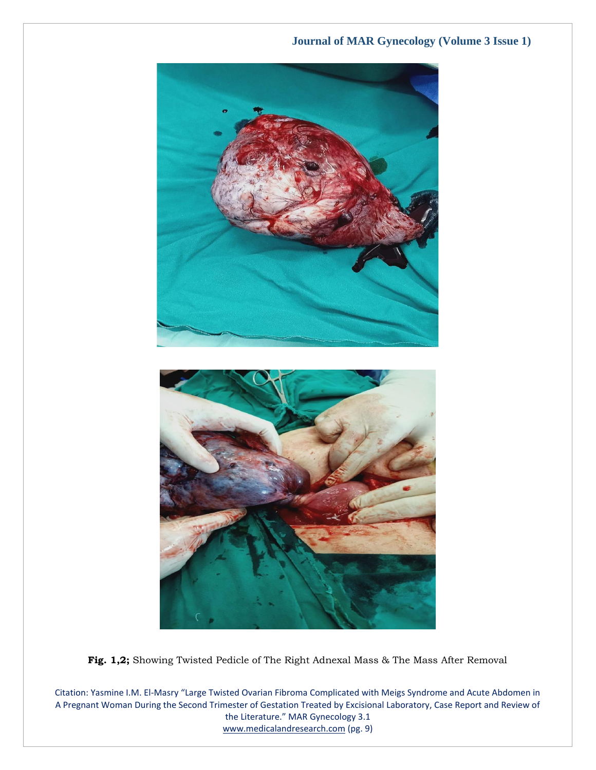

**Fig. 1,2;** Showing Twisted Pedicle of The Right Adnexal Mass & The Mass After Removal

Citation: Yasmine I.M. El-Masry "Large Twisted Ovarian Fibroma Complicated with Meigs Syndrome and Acute Abdomen in A Pregnant Woman During the Second Trimester of Gestation Treated by Excisional Laboratory, Case Report and Review of the Literature." MAR Gynecology 3.1 [www.medicalandresearch.com](http://www.medicalandresearch.com/) (pg. 9)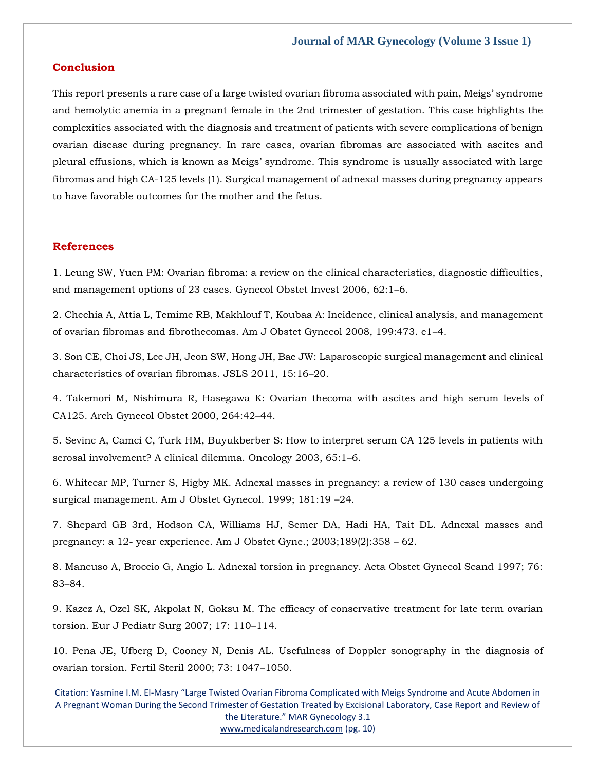# **Conclusion**

This report presents a rare case of a large twisted ovarian fibroma associated with pain, Meigs' syndrome and hemolytic anemia in a pregnant female in the 2nd trimester of gestation. This case highlights the complexities associated with the diagnosis and treatment of patients with severe complications of benign ovarian disease during pregnancy. In rare cases, ovarian fibromas are associated with ascites and pleural effusions, which is known as Meigs' syndrome. This syndrome is usually associated with large fibromas and high CA-125 levels (1). Surgical management of adnexal masses during pregnancy appears to have favorable outcomes for the mother and the fetus.

### **References**

[1. Leung SW, Yuen PM: Ovarian fibroma: a review on the clinical characteristics, diagnostic difficulties,](https://www.google.com/search?q=Ovarian+fibroma%3A+a+review+on+the+clinical+characteristics%2C+diagnostic+difficulties%2C+and+management+options+of+23+cases&sxsrf=APq-WBv9BNl8pX0i7s4Faz1CKjCmXLEImw%3A1650947882713&ei=KndnYrWiK5eF4-EPquuLuA4&ved=0ahUKEwi1392Q9LD3AhWXwjgGHar1AucQ4dUDCA4&oq=Ovarian+fibroma%3A+a+review+on+the+clinical+characteristics%2C+diagnostic+difficulties%2C+and+management+options+of+23+cases&gs_lcp=Cgdnd3Mtd2l6EAwyBwgjEOoCECcyBwgjEOoCECcyBwgjEOoCECcyBwgjEOoCECcyBwgjEOoCECcyBwgjEOoCECcyBwgjEOoCECcyBwgjEOoCECcyBwgjEOoCECcyBwgjEOoCECdKBAhBGABKBAhGGABQ2AZY2AZg1ApoAXABeACAAQCIAQCSAQCYAQCgAQGgAQKwAQrAAQE&sclient=gws-wiz)  [and management options of 23 cases. Gynecol Obstet Invest 2006, 62:1](https://www.google.com/search?q=Ovarian+fibroma%3A+a+review+on+the+clinical+characteristics%2C+diagnostic+difficulties%2C+and+management+options+of+23+cases&sxsrf=APq-WBv9BNl8pX0i7s4Faz1CKjCmXLEImw%3A1650947882713&ei=KndnYrWiK5eF4-EPquuLuA4&ved=0ahUKEwi1392Q9LD3AhWXwjgGHar1AucQ4dUDCA4&oq=Ovarian+fibroma%3A+a+review+on+the+clinical+characteristics%2C+diagnostic+difficulties%2C+and+management+options+of+23+cases&gs_lcp=Cgdnd3Mtd2l6EAwyBwgjEOoCECcyBwgjEOoCECcyBwgjEOoCECcyBwgjEOoCECcyBwgjEOoCECcyBwgjEOoCECcyBwgjEOoCECcyBwgjEOoCECcyBwgjEOoCECcyBwgjEOoCECdKBAhBGABKBAhGGABQ2AZY2AZg1ApoAXABeACAAQCIAQCSAQCYAQCgAQGgAQKwAQrAAQE&sclient=gws-wiz)–6.

[2. Chechia A, Attia L, Temime RB, Makhlouf T, Koubaa A: Incidence, clinical analysis, and management](https://www.google.com/search?q=Incidence%2C+clinical+analysis%2C+and+management+of+ovarian+fibromas+and+fibrothecomas&sxsrf=APq-WBsK2V_U9ZafCtlV-mPfBSrtg9VvvA%3A1650969263041&ei=r8pnYpuZApCK4-EPiKym4Ac&ved=0ahUKEwjbrNXjw7H3AhUQxTgGHQiWCXwQ4dUDCA4&oq=Incidence%2C+clinical+analysis%2C+and+management+of+ovarian+fibromas+and+fibrothecomas&gs_lcp=Cgdnd3Mtd2l6EAw6BwgjEOoCECdKBAhBGABKBAhGGABQ3gNY3gNguQdoAXABeACAAYEBiAGBAZIBAzAuMZgBAKABAaABArABCsABAQ&sclient=gws-wiz)  [of ovarian fibromas and fibrothecomas. Am J Obstet Gynecol 2008, 199:473. e1](https://www.google.com/search?q=Incidence%2C+clinical+analysis%2C+and+management+of+ovarian+fibromas+and+fibrothecomas&sxsrf=APq-WBsK2V_U9ZafCtlV-mPfBSrtg9VvvA%3A1650969263041&ei=r8pnYpuZApCK4-EPiKym4Ac&ved=0ahUKEwjbrNXjw7H3AhUQxTgGHQiWCXwQ4dUDCA4&oq=Incidence%2C+clinical+analysis%2C+and+management+of+ovarian+fibromas+and+fibrothecomas&gs_lcp=Cgdnd3Mtd2l6EAw6BwgjEOoCECdKBAhBGABKBAhGGABQ3gNY3gNguQdoAXABeACAAYEBiAGBAZIBAzAuMZgBAKABAaABArABCsABAQ&sclient=gws-wiz)–4.

[3. Son CE, Choi JS, Lee JH, Jeon SW, Hong JH, Bae JW: Laparoscopic surgical management and clinical](https://www.google.com/search?q=Laparoscopic+surgical+management+and+clinical+characteristics+of+ovarian+fibromas.&sxsrf=APq-WBvdGjqSYeRqDQqt3mJdjWVqs4O3FA%3A1650969278157&ei=vspnYvydCbeU4-EPj864qAY&ved=0ahUKEwj89O_qw7H3AhU3yjgGHQ8nDmUQ4dUDCA4&oq=Laparoscopic+surgical+management+and+clinical+characteristics+of+ovarian+fibromas.&gs_lcp=Cgdnd3Mtd2l6EAw6BwgjEOoCECdKBAhBGABKBAhGGABQjARYjARgvwhoAXAAeACAAeICiAHiApIBAzMtMZgBAKABAaABArABCsABAQ&sclient=gws-wiz)  [characteristics of ovarian fibromas. JSLS 2011, 15:16](https://www.google.com/search?q=Laparoscopic+surgical+management+and+clinical+characteristics+of+ovarian+fibromas.&sxsrf=APq-WBvdGjqSYeRqDQqt3mJdjWVqs4O3FA%3A1650969278157&ei=vspnYvydCbeU4-EPj864qAY&ved=0ahUKEwj89O_qw7H3AhU3yjgGHQ8nDmUQ4dUDCA4&oq=Laparoscopic+surgical+management+and+clinical+characteristics+of+ovarian+fibromas.&gs_lcp=Cgdnd3Mtd2l6EAw6BwgjEOoCECdKBAhBGABKBAhGGABQjARYjARgvwhoAXAAeACAAeICiAHiApIBAzMtMZgBAKABAaABArABCsABAQ&sclient=gws-wiz)–20.

4. Takemori [M, Nishimura R, Hasegawa K: Ovarian thecoma with ascites and high serum levels of](https://www.google.com/search?q=Ovarian+thecoma+with+ascites+and+high+serum+levels+of+CA125.+&sxsrf=APq-WBt0Mcy4ib6zup_biEDDk2QLhQ3v0w%3A1650969291200&ei=y8pnYtLpC7WG4-EPpf20eA&ved=0ahUKEwiS-4vxw7H3AhU1wzgGHaU-DQ8Q4dUDCA4&oq=Ovarian+thecoma+with+ascites+and+high+serum+levels+of+CA125.+&gs_lcp=Cgdnd3Mtd2l6EAw6BwgjEOoCECdKBAhBGABKBAhGGABQqwdYqwdgtgpoAXABeACAAWOIAWOSAQExmAEAoAEBoAECsAEKwAEB&sclient=gws-wiz)  [CA125. Arch Gynecol Obstet 2000, 264:42](https://www.google.com/search?q=Ovarian+thecoma+with+ascites+and+high+serum+levels+of+CA125.+&sxsrf=APq-WBt0Mcy4ib6zup_biEDDk2QLhQ3v0w%3A1650969291200&ei=y8pnYtLpC7WG4-EPpf20eA&ved=0ahUKEwiS-4vxw7H3AhU1wzgGHaU-DQ8Q4dUDCA4&oq=Ovarian+thecoma+with+ascites+and+high+serum+levels+of+CA125.+&gs_lcp=Cgdnd3Mtd2l6EAw6BwgjEOoCECdKBAhBGABKBAhGGABQqwdYqwdgtgpoAXABeACAAWOIAWOSAQExmAEAoAEBoAECsAEKwAEB&sclient=gws-wiz)–44.

[5. Sevinc A, Camci C, Turk HM, Buyukberber S: How to interpret serum CA 125 levels in patients with](https://www.google.com/search?q=How+to+interpret+serum+CA+125+levels+in+patients+with+serosal+involvement%3F+A+clinical+dilemma&sxsrf=APq-WBudzdV_bHxFCYg9FqDUzgAvxmZZdg%3A1650969314748&ei=4spnYvCpLdWX4-EPhciyyAs&ved=0ahUKEwjwoqn8w7H3AhXVyzgGHQWkDLkQ4dUDCA4&oq=How+to+interpret+serum+CA+125+levels+in+patients+with+serosal+involvement%3F+A+clinical+dilemma&gs_lcp=Cgdnd3Mtd2l6EAw6BwgjEOoCECdKBAhBGABKBAhGGABQkwVYkwVg1gpoAXABeACAAViIAViSAQExmAEAoAEBoAECsAEKwAEB&sclient=gws-wiz)  [serosal involvement? A clinical dilemma. Oncology](https://www.google.com/search?q=How+to+interpret+serum+CA+125+levels+in+patients+with+serosal+involvement%3F+A+clinical+dilemma&sxsrf=APq-WBudzdV_bHxFCYg9FqDUzgAvxmZZdg%3A1650969314748&ei=4spnYvCpLdWX4-EPhciyyAs&ved=0ahUKEwjwoqn8w7H3AhXVyzgGHQWkDLkQ4dUDCA4&oq=How+to+interpret+serum+CA+125+levels+in+patients+with+serosal+involvement%3F+A+clinical+dilemma&gs_lcp=Cgdnd3Mtd2l6EAw6BwgjEOoCECdKBAhBGABKBAhGGABQkwVYkwVg1gpoAXABeACAAViIAViSAQExmAEAoAEBoAECsAEKwAEB&sclient=gws-wiz) 2003, 65:1–6.

[6. Whitecar MP, Turner S, Higby MK. Adnexal masses in pregnancy: a review of 130 cases undergoing](https://www.google.com/search?q=Adnexal+masses+in+pregnancy%3A+a+review+of+130+cases+undergoing+surgical+management&sxsrf=APq-WBsF3JPz8fW7tb5SvwrCo-9Nxxw_UQ%3A1650969329597&ei=8cpnYuSEJLGf4-EPj9OkyAw&ved=0ahUKEwikwbODxLH3AhWxzzgGHY8pCckQ4dUDCA4&oq=Adnexal+masses+in+pregnancy%3A+a+review+of+130+cases+undergoing+surgical+management&gs_lcp=Cgdnd3Mtd2l6EAw6BwgjEOoCECdKBAhBGABKBAhGGABQoQdYoQdgywloAXAAeACAAWyIAWySAQMwLjGYAQCgAQGgAQKwAQrAAQE&sclient=gws-wiz)  [surgical management. Am J Obstet Gynecol. 1999; 181:19](https://www.google.com/search?q=Adnexal+masses+in+pregnancy%3A+a+review+of+130+cases+undergoing+surgical+management&sxsrf=APq-WBsF3JPz8fW7tb5SvwrCo-9Nxxw_UQ%3A1650969329597&ei=8cpnYuSEJLGf4-EPj9OkyAw&ved=0ahUKEwikwbODxLH3AhWxzzgGHY8pCckQ4dUDCA4&oq=Adnexal+masses+in+pregnancy%3A+a+review+of+130+cases+undergoing+surgical+management&gs_lcp=Cgdnd3Mtd2l6EAw6BwgjEOoCECdKBAhBGABKBAhGGABQoQdYoQdgywloAXAAeACAAWyIAWySAQMwLjGYAQCgAQGgAQKwAQrAAQE&sclient=gws-wiz) –24.

[7. Shepard GB 3rd, Hodson CA, Williams HJ, Semer DA, Hadi HA, Tait DL. Adnexal masses and](https://www.google.com/search?q=Adnexal+masses+and+pregnancy%3A+a+12-+year+experience&sxsrf=APq-WBthHENG9Xs7BhSV9a8sY0Osd-BbmA%3A1650969345927&ei=ActnYuihOKWc4-EPv5qLmAw&ved=0ahUKEwioppiLxLH3AhUlzjgGHT_NAsMQ4dUDCA4&oq=Adnexal+masses+and+pregnancy%3A+a+12-+year+experience&gs_lcp=Cgdnd3Mtd2l6EAw6BwgjEOoCECdKBAhBGABKBAhGGABQ8wZY8wZgqQpoAXAAeACAAa4BiAGuAZIBAzAuMZgBAKABAaABArABCsABAQ&sclient=gws-wiz)  pregnancy: a 12- [year experience. Am J Obstet Gyne.; 2003;189\(2\):358](https://www.google.com/search?q=Adnexal+masses+and+pregnancy%3A+a+12-+year+experience&sxsrf=APq-WBthHENG9Xs7BhSV9a8sY0Osd-BbmA%3A1650969345927&ei=ActnYuihOKWc4-EPv5qLmAw&ved=0ahUKEwioppiLxLH3AhUlzjgGHT_NAsMQ4dUDCA4&oq=Adnexal+masses+and+pregnancy%3A+a+12-+year+experience&gs_lcp=Cgdnd3Mtd2l6EAw6BwgjEOoCECdKBAhBGABKBAhGGABQ8wZY8wZgqQpoAXAAeACAAa4BiAGuAZIBAzAuMZgBAKABAaABArABCsABAQ&sclient=gws-wiz) – 62.

[8. Mancuso A, Broccio G, Angio L. Adnexal torsion in pregnancy. Acta Obstet Gynecol Scand 1997; 76:](https://www.google.com/search?q=Adnexal+torsion+in+pregnancy&sxsrf=APq-WBt5u1hX1GrQlJ4kvHxtxjZzL-854w%3A1650969364647&ei=FMtnYuWBJ4Oe4-EPtK2CiA0&ved=0ahUKEwjl246UxLH3AhUDzzgGHbSWANEQ4dUDCA4&oq=Adnexal+torsion+in+pregnancy&gs_lcp=Cgdnd3Mtd2l6EAwyBQgAEIAEMgYIABAWEB46BwgjEOoCECdKBAhBGABKBAhGGABQqQNYqQNglAdoAXAAeACAAV2IAV2SAQExmAEAoAEBoAECsAEKwAEB&sclient=gws-wiz)  83–[84.](https://www.google.com/search?q=Adnexal+torsion+in+pregnancy&sxsrf=APq-WBt5u1hX1GrQlJ4kvHxtxjZzL-854w%3A1650969364647&ei=FMtnYuWBJ4Oe4-EPtK2CiA0&ved=0ahUKEwjl246UxLH3AhUDzzgGHbSWANEQ4dUDCA4&oq=Adnexal+torsion+in+pregnancy&gs_lcp=Cgdnd3Mtd2l6EAwyBQgAEIAEMgYIABAWEB46BwgjEOoCECdKBAhBGABKBAhGGABQqQNYqQNglAdoAXAAeACAAV2IAV2SAQExmAEAoAEBoAECsAEKwAEB&sclient=gws-wiz)

[9. Kazez A, Ozel SK, Akpolat N, Goksu M. The efficacy of conservative treatment for late term ovarian](https://www.google.com/search?q=The+efficacy+of+conservative+treatment+for+late+term+ovarian+torsion.&sxsrf=APq-WBtbqtZSGH1pT7Sz_xs_NHCXmKI4hA%3A1650969385901&ei=KctnYqDWNv-d4-EP96qtiAs&ved=0ahUKEwjgjqCexLH3AhX_zjgGHXdVC7EQ4dUDCA4&oq=The+efficacy+of+conservative+treatment+for+late+term+ovarian+torsion.&gs_lcp=Cgdnd3Mtd2l6EAw6BwgjEOoCECdKBAhBGABKBAhGGABQuQNYuQNgzQdoAXABeACAAV6IAV6SAQExmAEAoAEBoAECsAEKwAEB&sclient=gws-wiz)  [torsion. Eur J Pediatr Surg 2007; 17: 110](https://www.google.com/search?q=The+efficacy+of+conservative+treatment+for+late+term+ovarian+torsion.&sxsrf=APq-WBtbqtZSGH1pT7Sz_xs_NHCXmKI4hA%3A1650969385901&ei=KctnYqDWNv-d4-EP96qtiAs&ved=0ahUKEwjgjqCexLH3AhX_zjgGHXdVC7EQ4dUDCA4&oq=The+efficacy+of+conservative+treatment+for+late+term+ovarian+torsion.&gs_lcp=Cgdnd3Mtd2l6EAw6BwgjEOoCECdKBAhBGABKBAhGGABQuQNYuQNgzQdoAXABeACAAV6IAV6SAQExmAEAoAEBoAECsAEKwAEB&sclient=gws-wiz)–114.

[10. Pena JE, Ufberg D, Cooney N, Denis AL. Usefulness of Doppler sonography in the diagnosis of](https://www.google.com/search?q=Usefulness+of+Doppler+sonography+in+the+diagnosis+of+ovarian+torsion.+&sxsrf=APq-WBvhYoOMZIK1zpGswKYvLCcjJ3AJCw%3A1650969401340&ei=OctnYsO0FKCb4-EPmraviAM&ved=0ahUKEwiDtc6lxLH3AhWgzTgGHRrbCzEQ4dUDCA4&oq=Usefulness+of+Doppler+sonography+in+the+diagnosis+of+ovarian+torsion.+&gs_lcp=Cgdnd3Mtd2l6EAw6BwgjEOoCECdKBAhBGABKBAhGGABQvwRYvwRg2whoAXAAeACAAbECiAGxApIBAzMtMZgBAKABAaABArABCsABAQ&sclient=gws-wiz)  [ovarian torsion. Fertil Steril 2000; 73: 1047](https://www.google.com/search?q=Usefulness+of+Doppler+sonography+in+the+diagnosis+of+ovarian+torsion.+&sxsrf=APq-WBvhYoOMZIK1zpGswKYvLCcjJ3AJCw%3A1650969401340&ei=OctnYsO0FKCb4-EPmraviAM&ved=0ahUKEwiDtc6lxLH3AhWgzTgGHRrbCzEQ4dUDCA4&oq=Usefulness+of+Doppler+sonography+in+the+diagnosis+of+ovarian+torsion.+&gs_lcp=Cgdnd3Mtd2l6EAw6BwgjEOoCECdKBAhBGABKBAhGGABQvwRYvwRg2whoAXAAeACAAbECiAGxApIBAzMtMZgBAKABAaABArABCsABAQ&sclient=gws-wiz)–1050.

Citation: Yasmine I.M. El-Masry "Large Twisted Ovarian Fibroma Complicated with Meigs Syndrome and Acute Abdomen in A Pregnant Woman During the Second Trimester of Gestation Treated by Excisional Laboratory, Case Report and Review of the Literature." MAR Gynecology 3.1 [www.medicalandresearch.com](http://www.medicalandresearch.com/) (pg. 10)